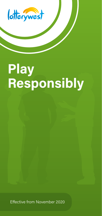

# **Play Responsibly**

Effective from November 2020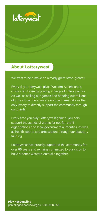

# **About Lotterywest**

We exist to help make an already great state, greater.

Every day Lotterywest gives Western Australians a chance to dream by playing a range of lottery games. As well as selling our games and handing out millions of prizes to winners, we are unique in Australia as the only lottery to directly support the community through our grants.

Every time you play Lotterywest games, you help support thousands of grants for not-for-profit organisations and local government authorities, as well as health, sports and arts sectors through our statutory funding.

Lotterywest has proudly supported the community for over 85 years and remains committed to our vision to build a better Western Australia together.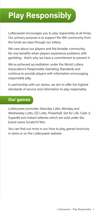# **Play Responsibly**

Lotterywest encourages you to play responsibly at all times. Our primary purpose is to support the WA community from the funds we raise through our lottery.

We care about our players and the broader community. No one benefits when players experience problems with gambling - that's why we have a commitment to prevent it.

We've achieved accreditation under the World Lottery Association's Responsible Gambling Standards and continue to provide players with information encouraging responsible play.

In partnership with our stores, we aim to offer the highest standards of service and information to play responsibly.

### **Our games**

Lotterywest promotes Saturday Lotto, Monday and Wednesday Lotto, OZ Lotto, Powerball, Set for Life, Cash 3, Super66 and instant lotteries which are sold under the brand name Scratch'n'Win.

You can find out more in our How to play games brochure, in-store or on the Lotterywest website.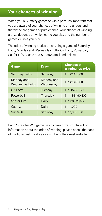# **Your chances of winning**

When you buy lottery games to win a prize, it's important that you are aware of your chances of winning and understand that these are games of pure chance. Your chance of winning a prize depends on which game you play and the number of games or lines you buy.

The odds of winning a prize on any single game of Saturday Lotto, Monday and Wednesday Lotto, OZ Lotto, Powerball, Set for Life, Cash 3 and Super66 are listed below:

| Game                          | <b>Drawn</b>            | <b>Chances of</b><br>winning top prize |
|-------------------------------|-------------------------|----------------------------------------|
| Saturday Lotto                | Saturday                | 1 in 8,145,060                         |
| Monday and<br>Wednesday Lotto | Monday and<br>Wednesday | 1 in 8,145,060                         |
| OZ Lotto                      | Tuesday                 | 1 in 45,379,620                        |
| Powerball                     | Thursday                | 1 in 134,490,400                       |
| Set for Life                  | Daily                   | 1 in 38,320,568                        |
| Cash 3                        | Daily                   | 1 in 1,000                             |
| Super <sub>66</sub>           | Saturday                | 1 in 1,000,000                         |

Each Scratch'n'Win game has its own prize structure. For information about the odds of winning, please check the back of the ticket, ask in-store or visit the Lotterywest website.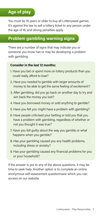# **Age of play**

You must be 16 years or older to buy all Lotterywest games. It's against the law to sell a lottery ticket to any person under the age of 16, and strong penalties apply.

# **Problem gambling warning signs**

There are a number of signs that may indicate you or someone you know has or may be developing a problem with gambling.

#### **Consider in the last 12 months:**

- 1. Have you bet or spent more on lottery products than you could really afford to lose?
- 2. Have you needed to gamble with larger amounts of money to be able to get the same feeling of excitement?
- 3. After gambling, did you go back on another day to try and win back the money you lost?
- 4. Have you borrowed money or sold anything to gamble?
- 5. Have you felt you might have a problem with gambling?
- 6. Have people criticised your betting or told you that you have a problem with gambling, regardless of whether or not you thought it was true?
- 7. Have you felt guilty about the way you gamble or what happens when you gamble?
- 8. Has your gambling caused you any health problems, including stress or anxiety?
- 9. Has your gambling caused any financial problems for you or your household?

If the answer is yes to any of the above questions, it may be time to seek help. Another option is to complete an online anonymous self-assessment questionnaire which you can access on our website.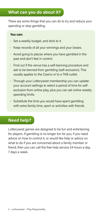There are some things that you can do to try and reduce your spending or stop gambling.

#### **You can:**

- Set a weekly budget, and stick to it.
- Keep records of all your winnings and your losses.
- Avoid going to places where you have gambled in the past and don't feel in control.
- Find out if the venue has a self-banning procedure and ask to be banned from gambling (self-exclusion). This usually applies to the Casino or to a TAB outlet.
- Through your Lotterywest membership you can update your account settings to select a period of time for selfexclusion from online play, plus you can set online weekly spending limits.
- Substitute the time you would have spent gambling with extra family time, sport or activities with friends.

# **Need help?**

Lotterywest games are designed to be fun and entertaining for players. If gambling is no longer fun for you, if you need advice on how to control it, or would like help or advice on what to do if you are concerned about a family member or friend, then you can call the free help service 24 hours a day, 7 days a week.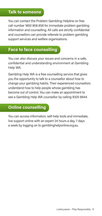# **Talk to someone**

You can contact the Problem Gambling Helpline on free call number 1800 858 858 for immediate problem gambling information and counselling. All calls are strictly confidential and counsellors can provide referrals to problem gambling support services and welfare organisations.

# **Face to face counselling**

You can also discuss your issues and concerns in a safe, confidential and understanding environment at Gambling Help WA.

Gambling Help WA is a free counselling service that gives you the opportunity to talk to a counsellor about how to change your gambling habits. Their experienced counsellors understand how to help people whose gambling has become out of control. You can make an appointment to see a Gambling Help WA counsellor by calling 9325 6644.

# **Online counselling**

You can access information, self-help tools and immediate, live support online with an expert 24 hours a day, 7 days a week by logging on to gamblinghelponline.org.au.